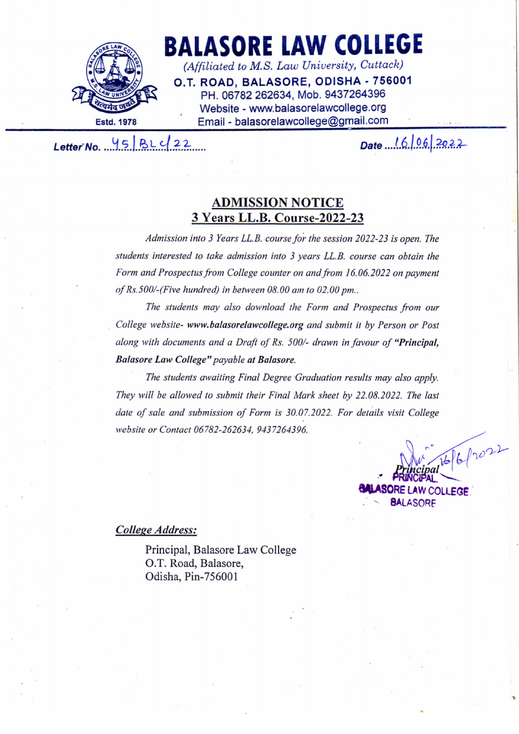

# **BALASORE LAW COLLEGE**

(Affiliated to M.S. Law University, Cuttack) O.T. ROAD. BALASORE, ODISHA - 756001 PH. 06782 262634, Mob. 9437264396 Website - www.balasorelawcollege.org Email - balasorelawcollege@gmail.com

Letter No.  $45822$ 

Date 16/06/2022

## **ADMISSION NOTICE** 3 Years LL.B. Course-2022-23

Admission into 3 Years LL.B. course for the session 2022-23 is open. The students interested to take admission into 3 years LL.B. course can obtain the Form and Prospectus from College counter on and from 16.06.2022 on payment of Rs.500/-(Five hundred) in between 08.00 am to 02.00 pm..

The students may also download the Form and Prospectus from our College website- www.balasorelawcollege.org and submit it by Person or Post along with documents and a Draft of Rs. 500/- drawn in favour of "Principal, Balasore Law College" payable at Balasore.

The students awaiting Final Degree Graduation results may also apply. They will be allowed to submit their Final Mark sheet by 22.08.2022. The last date of sale and submission of Form is 30.07.2022. For details visit College website or Contact 06782-262634, 9437264396.

> $812022$ **ORE LAW COLLEGE. BALASORE**

#### College Address:

Principal, Balasore Law College O.T. Road, Balasore, Odisha, Pin-756001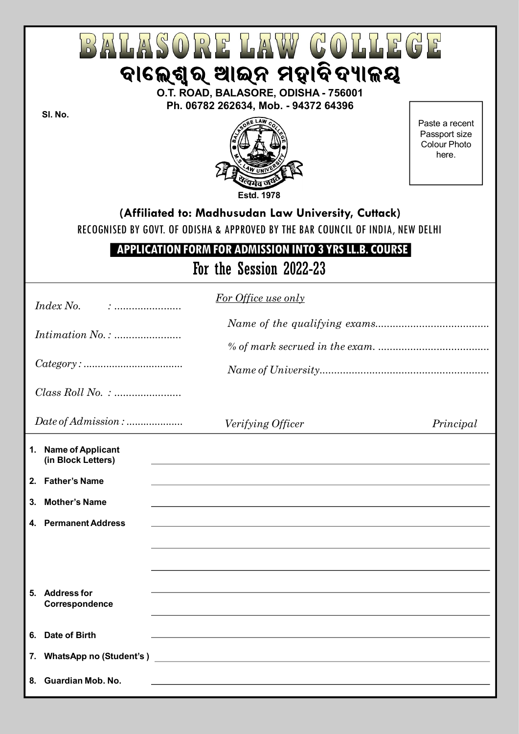| $3/41\,\mathrm{Hz}$<br>$(0)$ $\mathbb{R}$ $\mathbb{R}$ $\mathbb{R}$ $\mathbb{R}$ $\mathbb{R}$<br>ବାଲେଶ୍ୱର୍ ଆଇନ ମହାବିଦ୍ୟାଳୟ<br>O.T. ROAD, BALASORE, ODISHA - 756001                                                                                      |                                                                                                                                                                                                                                                                                            |                                                                 |  |  |
|---------------------------------------------------------------------------------------------------------------------------------------------------------------------------------------------------------------------------------------------------------|--------------------------------------------------------------------------------------------------------------------------------------------------------------------------------------------------------------------------------------------------------------------------------------------|-----------------------------------------------------------------|--|--|
| SI. No.                                                                                                                                                                                                                                                 | Ph. 06782 262634, Mob. - 94372 64396                                                                                                                                                                                                                                                       | Paste a recent<br>Passport size<br><b>Colour Photo</b><br>here. |  |  |
| <b>Estd. 1978</b><br>(Affiliated to: Madhusudan Law University, Cuttack)<br>RECOGNISED BY GOVT. OF ODISHA & APPROVED BY THE BAR COUNCIL OF INDIA, NEW DELHI<br><b>APPLICATION FORM FOR ADMISSION INTO 3 YRS LL.B. COURSE</b><br>For the Session 2022-23 |                                                                                                                                                                                                                                                                                            |                                                                 |  |  |
| <i>Index No.</i>                                                                                                                                                                                                                                        | <b>For Office use only</b>                                                                                                                                                                                                                                                                 |                                                                 |  |  |
| $Category: \dots \dots \dots \dots \dots \dots \dots \dots \dots$                                                                                                                                                                                       |                                                                                                                                                                                                                                                                                            |                                                                 |  |  |
|                                                                                                                                                                                                                                                         |                                                                                                                                                                                                                                                                                            |                                                                 |  |  |
| Date of Admission :                                                                                                                                                                                                                                     | Verifying Officer                                                                                                                                                                                                                                                                          | Principal                                                       |  |  |
| 1. Name of Applicant<br>(in Block Letters)<br>2. Father's Name<br><b>Mother's Name</b><br>3.<br>4. Permanent Address                                                                                                                                    | and the control of the control of the control of the control of the control of the control of the control of the<br>,我们也不能在这里的时候,我们也不能在这里的时候,我们也不能会在这里的时候,我们也不能会在这里的时候,我们也不能会在这里的时候,我们也不能会在这里的时候,我们也不<br>,我们也不能在这里的时候,我们也不能在这里的时候,我们也不能会在这里的时候,我们也不能会在这里的时候,我们也不能会在这里的时候,我们也不能会在这里的时候,我们也不 |                                                                 |  |  |
| 5. Address for<br>Correspondence                                                                                                                                                                                                                        |                                                                                                                                                                                                                                                                                            |                                                                 |  |  |
| Date of Birth<br>6.                                                                                                                                                                                                                                     |                                                                                                                                                                                                                                                                                            |                                                                 |  |  |
| 7.<br><b>Guardian Mob. No.</b><br>8.                                                                                                                                                                                                                    | WhatsApp no (Student's ) <u>Contract Contract Contract Contract Contract Contract Contract Contract Contract Contract Contract Contract Contract Contract Contract Contract Contract Contract Contract Contract Contract Contrac</u>                                                       |                                                                 |  |  |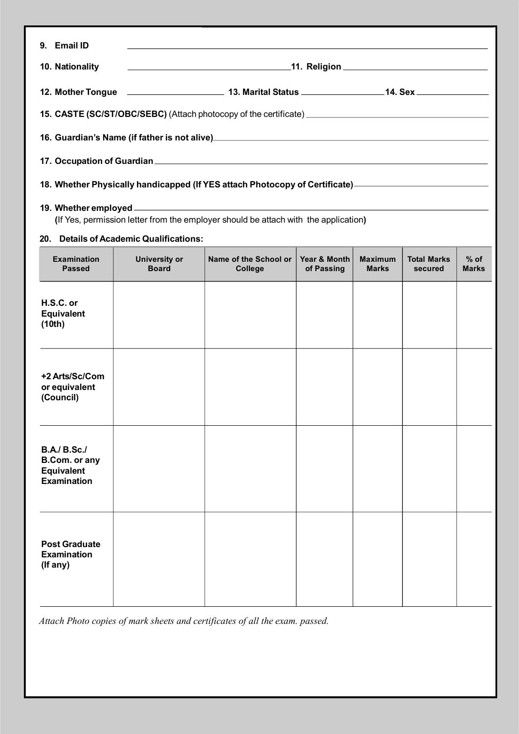| 9. Email ID                                                                                                                                                                                                                                                                                                                 |                                         |                                                                                                      |                            |                                |                               |                        |  |
|-----------------------------------------------------------------------------------------------------------------------------------------------------------------------------------------------------------------------------------------------------------------------------------------------------------------------------|-----------------------------------------|------------------------------------------------------------------------------------------------------|----------------------------|--------------------------------|-------------------------------|------------------------|--|
| 10. Nationality                                                                                                                                                                                                                                                                                                             |                                         |                                                                                                      |                            |                                |                               |                        |  |
|                                                                                                                                                                                                                                                                                                                             |                                         |                                                                                                      |                            |                                |                               |                        |  |
|                                                                                                                                                                                                                                                                                                                             |                                         | 15. CASTE (SC/ST/OBC/SEBC) (Attach photocopy of the certificate) ___________________________________ |                            |                                |                               |                        |  |
|                                                                                                                                                                                                                                                                                                                             |                                         |                                                                                                      |                            |                                |                               |                        |  |
|                                                                                                                                                                                                                                                                                                                             |                                         |                                                                                                      |                            |                                |                               |                        |  |
|                                                                                                                                                                                                                                                                                                                             |                                         | 18. Whether Physically handicapped (If YES attach Photocopy of Certificate) ———————————————          |                            |                                |                               |                        |  |
| 19. Whether employed <u>example and the set of the set of the set of the set of the set of the set of the set of the set of the set of the set of the set of the set of the set of the set of the set of the set of the set of t</u><br>(If Yes, permission letter from the employer should be attach with the application) |                                         |                                                                                                      |                            |                                |                               |                        |  |
|                                                                                                                                                                                                                                                                                                                             | 20. Details of Academic Qualifications: |                                                                                                      |                            |                                |                               |                        |  |
| <b>Examination</b><br><b>Passed</b>                                                                                                                                                                                                                                                                                         | <b>University or</b><br><b>Board</b>    | Name of the School or<br><b>College</b>                                                              | Year & Month<br>of Passing | <b>Maximum</b><br><b>Marks</b> | <b>Total Marks</b><br>secured | $%$ of<br><b>Marks</b> |  |
| H.S.C. or<br><b>Equivalent</b><br>(10th)                                                                                                                                                                                                                                                                                    |                                         |                                                                                                      |                            |                                |                               |                        |  |
| +2 Arts/Sc/Com<br>or equivalent<br>(Council)                                                                                                                                                                                                                                                                                |                                         |                                                                                                      |                            |                                |                               |                        |  |
| <b>B.A./ B.Sc./</b><br>B.Com. or any<br>Equivalent<br><b>Examination</b>                                                                                                                                                                                                                                                    |                                         |                                                                                                      |                            |                                |                               |                        |  |
| <b>Post Graduate</b><br><b>Examination</b><br>(If any)                                                                                                                                                                                                                                                                      |                                         |                                                                                                      |                            |                                |                               |                        |  |

*Attach Photo copies of mark sheets and certificates of all the exam. passed.*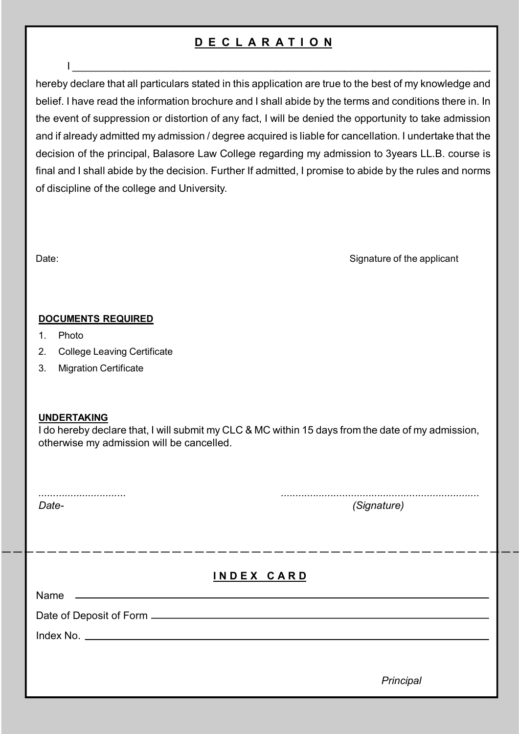# **DECLARA T I O N**

I \_\_\_\_\_\_\_\_\_\_\_\_\_\_\_\_\_\_\_\_\_\_\_\_\_\_\_\_\_\_\_\_\_\_\_\_\_\_\_\_\_\_\_\_\_\_\_\_\_\_\_\_\_\_\_\_\_\_\_\_\_\_\_\_\_\_\_\_\_\_\_\_

hereby declare that all particulars stated in this application are true to the best of my knowledge and belief. I have read the information brochure and I shall abide by the terms and conditions there in. In the event of suppression or distortion of any fact, I will be denied the opportunity to take admission and if already admitted my admission / degree acquired is liable for cancellation. I undertake that the decision of the principal, Balasore Law College regarding my admission to 3years LL.B. course is final and I shall abide by the decision. Further If admitted, I promise to abide by the rules and norms of discipline of the college and University.

Date: Signature of the applicant

#### **DOCUMENTS REQUIRED**

- 1. Photo
- 2. College Leaving Certificate
- 3. Migration Certificate

#### **UNDERTAKING**

I do hereby declare that, I will submit my CLC & MC within 15 days from the date of my admission, otherwise my admission will be cancelled.

*.............................. ....................................................................*

*Date- (Signature)*

## **INDEX CARD**

Name

Date of Deposit of Form

Index No.

*Principal*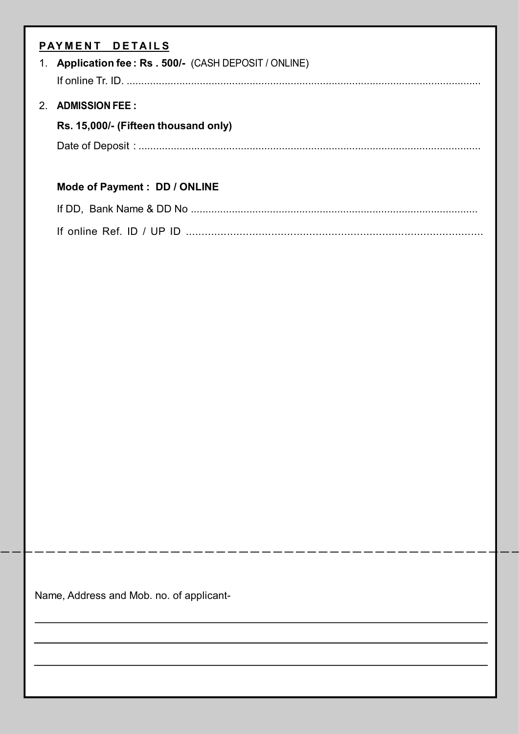| $1_{\cdot}$ | PAYMENT DETAILS<br>Application fee: Rs . 500/- (CASH DEPOSIT / ONLINE) |
|-------------|------------------------------------------------------------------------|
|             |                                                                        |
| 2.          | <b>ADMISSION FEE:</b>                                                  |
|             | Rs. 15,000/- (Fifteen thousand only)                                   |
|             |                                                                        |
|             | Mode of Payment : DD / ONLINE                                          |
|             |                                                                        |
|             |                                                                        |
|             |                                                                        |
|             |                                                                        |
|             |                                                                        |
|             |                                                                        |
|             |                                                                        |
|             |                                                                        |
|             |                                                                        |
|             |                                                                        |
|             |                                                                        |
|             |                                                                        |
|             |                                                                        |
|             |                                                                        |
|             |                                                                        |

Name, Address and Mob. no. of applicant-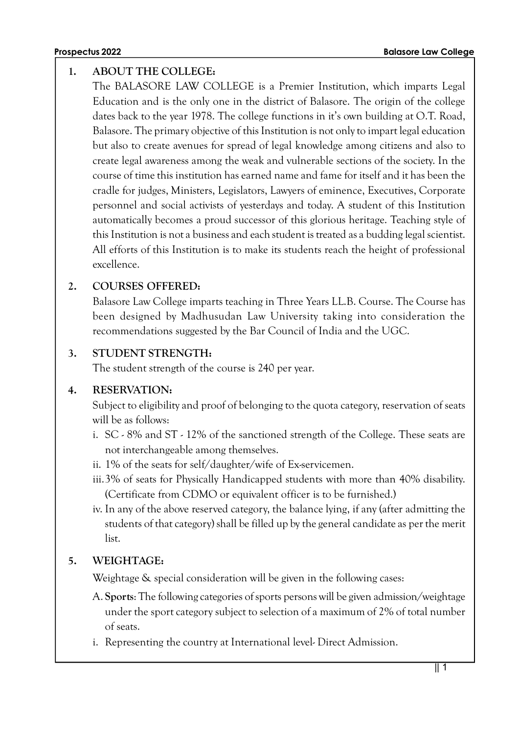#### **1. ABOUT THE COLLEGE:**

The BALASORE LAW COLLEGE is a Premier Institution, which imparts Legal Education and is the only one in the district of Balasore. The origin of the college dates back to the year 1978. The college functions in it's own building at O.T. Road, Balasore. The primary objective of this Institution is not only to impart legal education but also to create avenues for spread of legal knowledge among citizens and also to create legal awareness among the weak and vulnerable sections of the society. In the course of time this institution has earned name and fame for itself and it has been the cradle for judges, Ministers, Legislators, Lawyers of eminence, Executives, Corporate personnel and social activists of yesterdays and today. A student of this Institution automatically becomes a proud successor of this glorious heritage. Teaching style of this Institution is not a business and each student is treated as a budding legal scientist. All efforts of this Institution is to make its students reach the height of professional excellence.

#### **2. COURSES OFFERED:**

Balasore Law College imparts teaching in Three Years LL.B. Course. The Course has been designed by Madhusudan Law University taking into consideration the recommendations suggested by the Bar Council of India and the UGC.

#### **3. STUDENT STRENGTH:**

The student strength of the course is 240 per year.

#### **4. RESERVATION:**

Subject to eligibility and proof of belonging to the quota category, reservation of seats will be as follows:

- i. SC 8% and ST 12% of the sanctioned strength of the College. These seats are not interchangeable among themselves.
- ii. 1% of the seats for self/daughter/wife of Ex-servicemen.
- iii.3% of seats for Physically Handicapped students with more than 40% disability. (Certificate from CDMO or equivalent officer is to be furnished.)
- iv. In any of the above reserved category, the balance lying, if any (after admitting the students of that category) shall be filled up by the general candidate as per the merit list.

#### **5. WEIGHTAGE:**

Weightage & special consideration will be given in the following cases:

- A. **Sports**: The following categories of sports persons will be given admission/weightage under the sport category subject to selection of a maximum of 2% of total number of seats.
- i. Representing the country at International level- Direct Admission.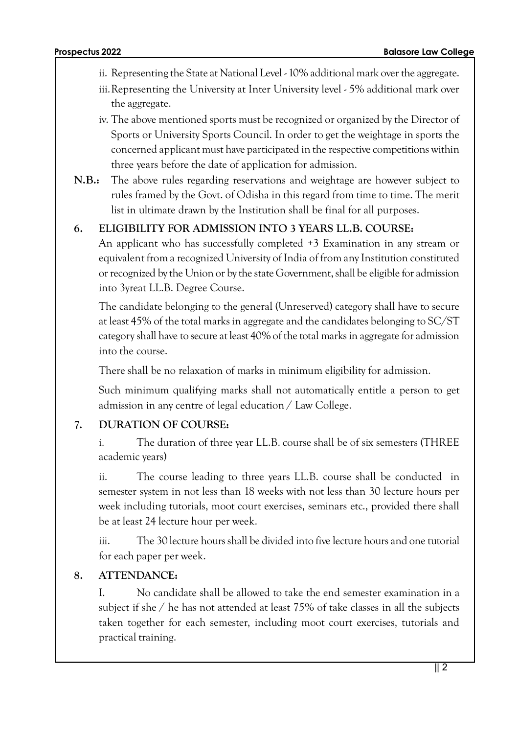- ii. Representing the State at National Level 10% additional mark over the aggregate.
- iii.Representing the University at Inter University level 5% additional mark over the aggregate.
- iv. The above mentioned sports must be recognized or organized by the Director of Sports or University Sports Council. In order to get the weightage in sports the concerned applicant must have participated in the respective competitions within three years before the date of application for admission.
- **N.B.:** The above rules regarding reservations and weightage are however subject to rules framed by the Govt. of Odisha in this regard from time to time. The merit list in ultimate drawn by the Institution shall be final for all purposes.

#### **6. ELIGIBILITY FOR ADMISSION INTO 3 YEARS LL.B. COURSE:**

An applicant who has successfully completed +3 Examination in any stream or equivalent from a recognized University of India of from any Institution constituted or recognized by the Union or by the state Government, shall be eligible for admission into 3yreat LL.B. Degree Course.

The candidate belonging to the general (Unreserved) category shall have to secure at least 45% of the total marks in aggregate and the candidates belonging to SC/ST category shall have to secure at least 40% of the total marks in aggregate for admission into the course.

There shall be no relaxation of marks in minimum eligibility for admission.

Such minimum qualifying marks shall not automatically entitle a person to get admission in any centre of legal education / Law College.

#### **7. DURATION OF COURSE:**

i. The duration of three year LL.B. course shall be of six semesters (THREE academic years)

ii. The course leading to three years LL.B. course shall be conducted in semester system in not less than 18 weeks with not less than 30 lecture hours per week including tutorials, moot court exercises, seminars etc., provided there shall be at least 24 lecture hour per week.

iii. The 30 lecture hours shall be divided into five lecture hours and one tutorial for each paper per week.

#### **8. ATTENDANCE:**

I. No candidate shall be allowed to take the end semester examination in a subject if she / he has not attended at least 75% of take classes in all the subjects taken together for each semester, including moot court exercises, tutorials and practical training.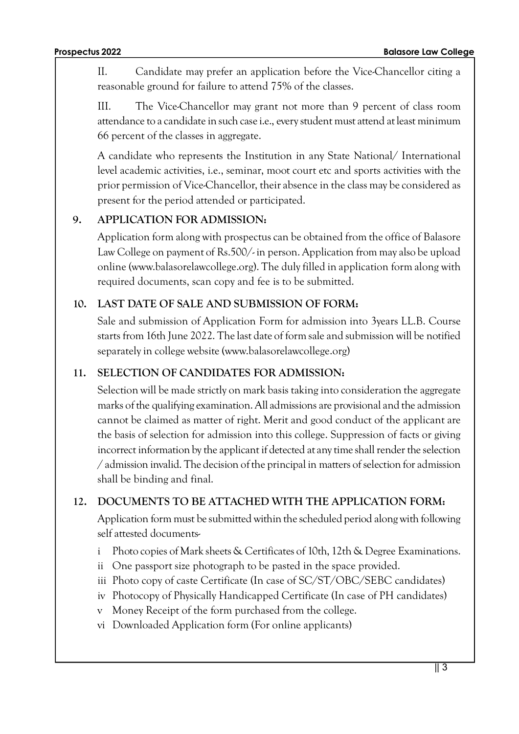II. Candidate may prefer an application before the Vice-Chancellor citing a reasonable ground for failure to attend 75% of the classes.

III. The Vice-Chancellor may grant not more than 9 percent of class room attendance to a candidate in such case i.e., every student must attend at least minimum 66 percent of the classes in aggregate.

A candidate who represents the Institution in any State National/ International level academic activities, i.e., seminar, moot court etc and sports activities with the prior permission of Vice-Chancellor, their absence in the class may be considered as present for the period attended or participated.

## **9. APPLICATION FOR ADMISSION:**

Application form along with prospectus can be obtained from the office of Balasore Law College on payment of Rs.500/- in person. Application from may also be upload online (www.balasorelawcollege.org). The duly filled in application form along with required documents, scan copy and fee is to be submitted.

## **10. LAST DATE OF SALE AND SUBMISSION OF FORM:**

Sale and submission of Application Form for admission into 3years LL.B. Course starts from 16th June 2022. The last date of form sale and submission will be notified separately in college website (www.balasorelawcollege.org)

## **11. SELECTION OF CANDIDATES FOR ADMISSION:**

Selection will be made strictly on mark basis taking into consideration the aggregate marks of the qualifying examination. All admissions are provisional and the admission cannot be claimed as matter of right. Merit and good conduct of the applicant are the basis of selection for admission into this college. Suppression of facts or giving incorrect information by the applicant if detected at any time shall render the selection / admission invalid. The decision of the principal in matters of selection for admission shall be binding and final.

## **12. DOCUMENTS TO BE ATTACHED WITH THE APPLICATION FORM:**

Application form must be submitted within the scheduled period along with following self attested documents-

- i Photo copies of Mark sheets & Certificates of 10th, 12th & Degree Examinations.
- ii One passport size photograph to be pasted in the space provided.
- iii Photo copy of caste Certificate (In case of SC/ST/OBC/SEBC candidates)
- iv Photocopy of Physically Handicapped Certificate (In case of PH candidates)
- v Money Receipt of the form purchased from the college.
- vi Downloaded Application form (For online applicants)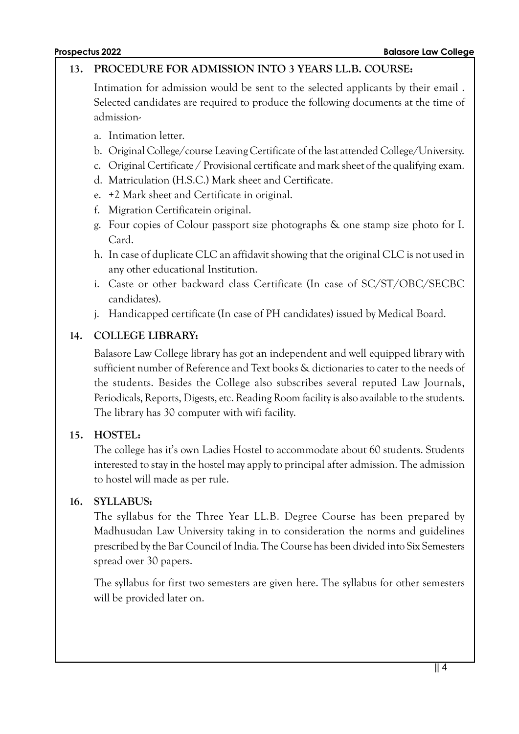#### **13. PROCEDURE FOR ADMISSION INTO 3 YEARS LL.B. COURSE:**

Intimation for admission would be sent to the selected applicants by their email . Selected candidates are required to produce the following documents at the time of admission-

- a. Intimation letter.
- b. Original College/course Leaving Certificate of the last attended College/University.
- c. Original Certificate / Provisional certificate and mark sheet of the qualifying exam.
- d. Matriculation (H.S.C.) Mark sheet and Certificate.
- e. +2 Mark sheet and Certificate in original.
- f. Migration Certificatein original.
- g. Four copies of Colour passport size photographs & one stamp size photo for I. Card.
- h. In case of duplicate CLC an affidavit showing that the original CLC is not used in any other educational Institution.
- i. Caste or other backward class Certificate (In case of SC/ST/OBC/SECBC candidates).
- j. Handicapped certificate (In case of PH candidates) issued by Medical Board.

## **14. COLLEGE LIBRARY:**

Balasore Law College library has got an independent and well equipped library with sufficient number of Reference and Text books & dictionaries to cater to the needs of the students. Besides the College also subscribes several reputed Law Journals, Periodicals, Reports, Digests, etc. Reading Room facility is also available to the students. The library has 30 computer with wifi facility.

#### **15. HOSTEL:**

The college has it's own Ladies Hostel to accommodate about 60 students. Students interested to stay in the hostel may apply to principal after admission. The admission to hostel will made as per rule.

#### **16. SYLLABUS:**

The syllabus for the Three Year LL.B. Degree Course has been prepared by Madhusudan Law University taking in to consideration the norms and guidelines prescribed by the Bar Council of India. The Course has been divided into Six Semesters spread over 30 papers.

The syllabus for first two semesters are given here. The syllabus for other semesters will be provided later on.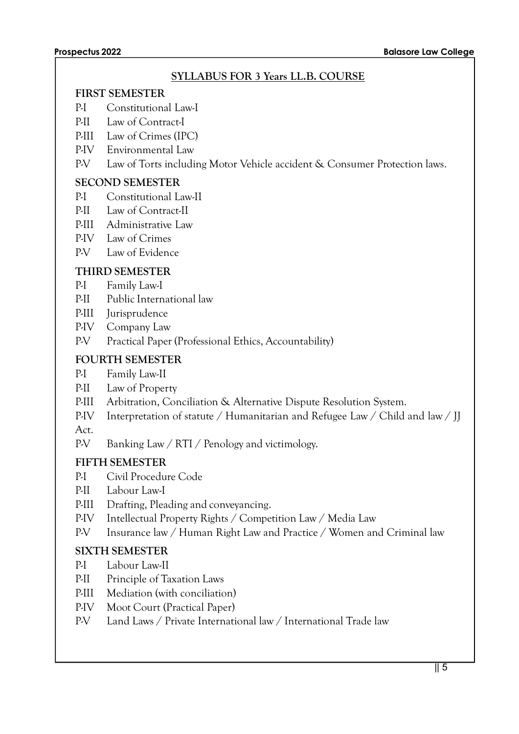#### **SYLLABUS FOR 3 Years LL.B. COURSE**

#### **FIRST SEMESTER**

- P-I Constitutional Law-I
- P-II Law of Contract-I
- P-III Law of Crimes (IPC)
- P-IV Environmental Law
- P-V Law of Torts including Motor Vehicle accident & Consumer Protection laws.

#### **SECOND SEMESTER**

- P-I Constitutional Law-II
- P-II Law of Contract-II
- P-III Administrative Law
- P-IV Law of Crimes
- P-V Law of Evidence

## **THIRD SEMESTER**

- P-I Family Law-I
- P-II Public International law
- P-III Jurisprudence
- P-IV Company Law
- P-V Practical Paper (Professional Ethics, Accountability)

## **FOURTH SEMESTER**

- P-I Family Law-II
- P-II Law of Property
- P-III Arbitration, Conciliation & Alternative Dispute Resolution System.
- P-IV Interpretation of statute / Humanitarian and Refugee Law / Child and law / JJ Act.
- P-V Banking Law / RTI / Penology and victimology.

## **FIFTH SEMESTER**

- P-I Civil Procedure Code
- P-II Labour Law-I
- P-III Drafting, Pleading and conveyancing.
- P-IV Intellectual Property Rights / Competition Law / Media Law
- P-V Insurance law / Human Right Law and Practice / Women and Criminal law

## **SIXTH SEMESTER**

- P-I Labour Law-II
- P-II Principle of Taxation Laws
- P-III Mediation (with conciliation)
- P-IV Moot Court (Practical Paper)
- P-V Land Laws / Private International law / International Trade law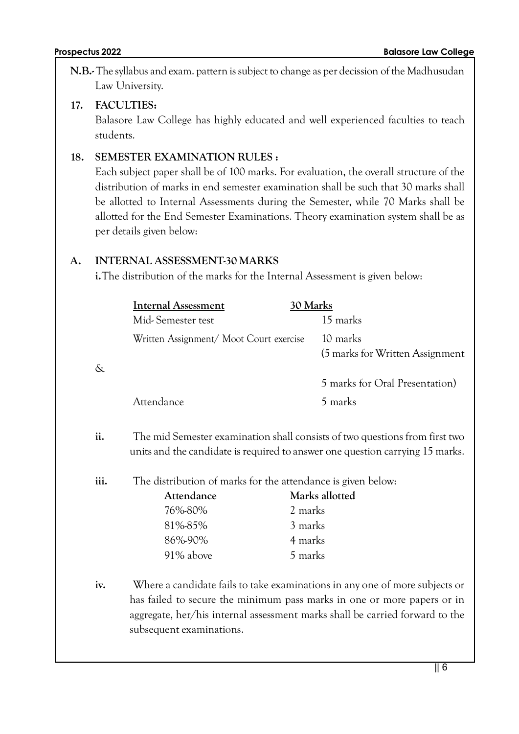**N.B.-** The syllabus and exam. pattern is subject to change as per decission of the Madhusudan Law University.

#### **17. FACULTIES:**

Balasore Law College has highly educated and well experienced faculties to teach students.

## **18. SEMESTER EXAMINATION RULES :**

Each subject paper shall be of 100 marks. For evaluation, the overall structure of the distribution of marks in end semester examination shall be such that 30 marks shall be allotted to Internal Assessments during the Semester, while 70 Marks shall be allotted for the End Semester Examinations. Theory examination system shall be as per details given below:

## **A. INTERNAL ASSESSMENT-30 MARKS**

**i.**The distribution of the marks for the Internal Assessment is given below:

|      | <b>Internal Assessment</b>                                                   | 30 Marks                                                                      |  |
|------|------------------------------------------------------------------------------|-------------------------------------------------------------------------------|--|
|      | Mid-Semester test                                                            | 15 marks                                                                      |  |
|      | Written Assignment/Moot Court exercise                                       | 10 marks                                                                      |  |
|      |                                                                              | (5 marks for Written Assignment                                               |  |
| $\&$ |                                                                              |                                                                               |  |
|      |                                                                              | 5 marks for Oral Presentation)                                                |  |
|      | Attendance                                                                   | 5 marks                                                                       |  |
|      |                                                                              |                                                                               |  |
| ii.  |                                                                              | The mid Semester examination shall consists of two questions from first two   |  |
|      |                                                                              | units and the candidate is required to answer one question carrying 15 marks. |  |
|      |                                                                              |                                                                               |  |
| iii. | The distribution of marks for the attendance is given below:                 |                                                                               |  |
|      | Attendance                                                                   | Marks allotted                                                                |  |
|      | 76%-80%                                                                      | 2 marks                                                                       |  |
|      | 81%-85%                                                                      | 3 marks                                                                       |  |
|      | 86%-90%                                                                      | 4 marks                                                                       |  |
|      | 91% above                                                                    | 5 marks                                                                       |  |
|      |                                                                              |                                                                               |  |
| iv.  |                                                                              | Where a candidate fails to take examinations in any one of more subjects or   |  |
|      | has failed to secure the minimum pass marks in one or more papers or in      |                                                                               |  |
|      | aggregate, her/his internal assessment marks shall be carried forward to the |                                                                               |  |
|      | subsequent examinations.                                                     |                                                                               |  |
|      |                                                                              |                                                                               |  |
|      |                                                                              |                                                                               |  |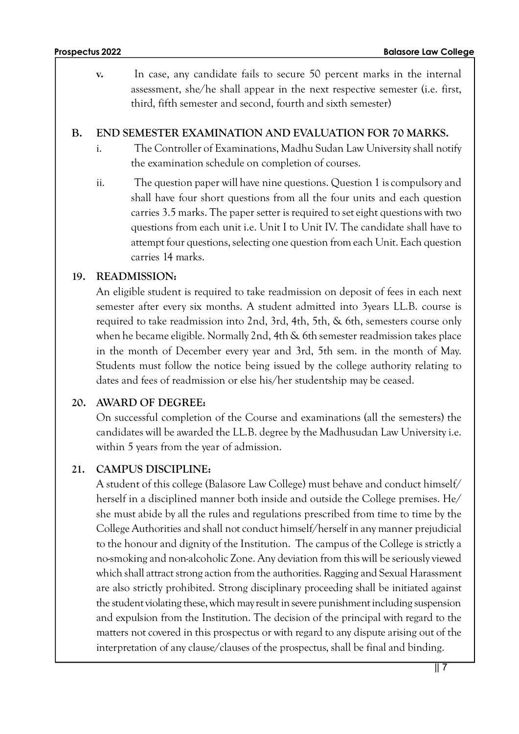**v.** In case, any candidate fails to secure 50 percent marks in the internal assessment, she/he shall appear in the next respective semester (i.e. first, third, fifth semester and second, fourth and sixth semester)

#### **B. END SEMESTER EXAMINATION AND EVALUATION FOR 70 MARKS.**

- i. The Controller of Examinations, Madhu Sudan Law University shall notify the examination schedule on completion of courses.
- ii. The question paper will have nine questions. Question 1 is compulsory and shall have four short questions from all the four units and each question carries 3.5 marks. The paper setter is required to set eight questions with two questions from each unit i.e. Unit I to Unit IV. The candidate shall have to attempt four questions, selecting one question from each Unit. Each question carries 14 marks.

## **19. READMISSION:**

An eligible student is required to take readmission on deposit of fees in each next semester after every six months. A student admitted into 3years LL.B. course is required to take readmission into 2nd, 3rd, 4th, 5th, & 6th, semesters course only when he became eligible. Normally 2nd, 4th & 6th semester readmission takes place in the month of December every year and 3rd, 5th sem. in the month of May. Students must follow the notice being issued by the college authority relating to dates and fees of readmission or else his/her studentship may be ceased.

## **20. AWARD OF DEGREE:**

On successful completion of the Course and examinations (all the semesters) the candidates will be awarded the LL.B. degree by the Madhusudan Law University i.e. within 5 years from the year of admission.

## **21. CAMPUS DISCIPLINE:**

A student of this college (Balasore Law College) must behave and conduct himself/ herself in a disciplined manner both inside and outside the College premises. He/ she must abide by all the rules and regulations prescribed from time to time by the College Authorities and shall not conduct himself/herself in any manner prejudicial to the honour and dignity of the Institution. The campus of the College is strictly a no-smoking and non-alcoholic Zone. Any deviation from this will be seriously viewed which shall attract strong action from the authorities. Ragging and Sexual Harassment are also strictly prohibited. Strong disciplinary proceeding shall be initiated against the student violating these, which may result in severe punishment including suspension and expulsion from the Institution. The decision of the principal with regard to the matters not covered in this prospectus or with regard to any dispute arising out of the interpretation of any clause/clauses of the prospectus, shall be final and binding.